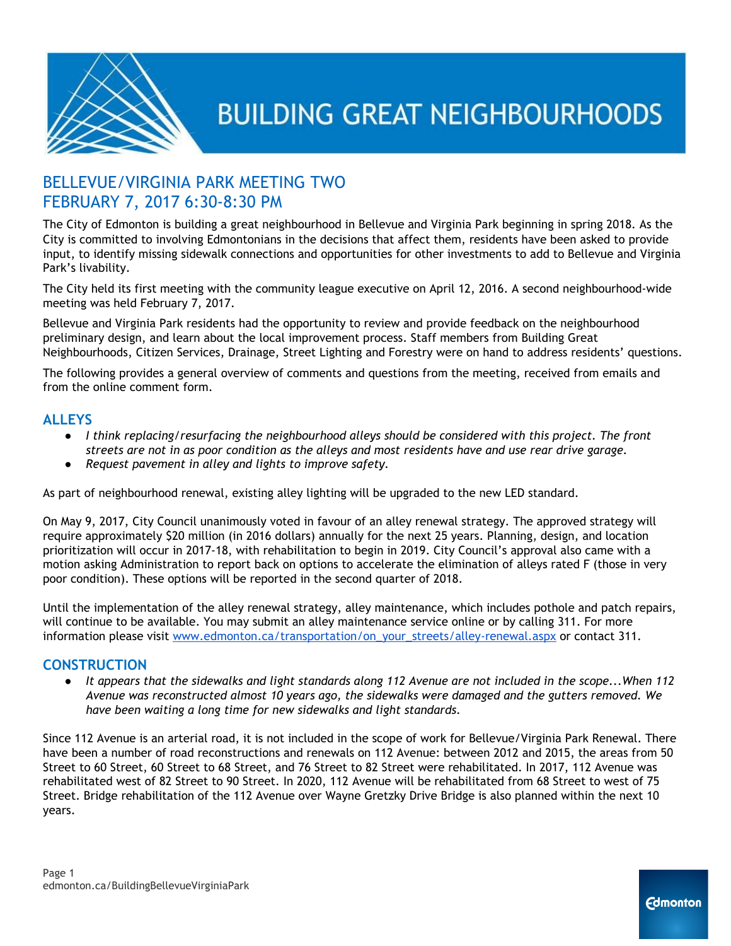

### BELLEVUE/VIRGINIA PARK MEETING TWO FEBRUARY 7, 2017 6:30-8:30 PM

The City of Edmonton is building a great neighbourhood in Bellevue and Virginia Park beginning in spring 2018. As the City is committed to involving Edmontonians in the decisions that affect them, residents have been asked to provide input, to identify missing sidewalk connections and opportunities for other investments to add to Bellevue and Virginia Park's livability.

The City held its first meeting with the community league executive on April 12, 2016. A second neighbourhood-wide meeting was held February 7, 2017.

Bellevue and Virginia Park residents had the opportunity to review and provide feedback on the neighbourhood preliminary design, and learn about the local improvement process. Staff members from Building Great Neighbourhoods, Citizen Services, Drainage, Street Lighting and Forestry were on hand to address residents' questions.

The following provides a general overview of comments and questions from the meeting, received from emails and from the online comment form.

#### **ALLEYS**

- *● I think replacing/resurfacing the neighbourhood alleys should be considered with this project. The front* streets are not in as poor condition as the alleys and most residents have and use rear drive garage.
- *● Request pavement in alley and lights to improve safety.*

As part of neighbourhood renewal, existing alley lighting will be upgraded to the new LED standard.

On May 9, 2017, City Council unanimously voted in favour of an alley renewal strategy. The approved strategy will require approximately \$20 million (in 2016 dollars) annually for the next 25 years. Planning, design, and location prioritization will occur in 2017-18, with rehabilitation to begin in 2019. City Council's approval also came with a motion asking Administration to report back on options to accelerate the elimination of alleys rated F (those in very poor condition). These options will be reported in the second quarter of 2018.

Until the implementation of the alley renewal strategy, alley maintenance, which includes pothole and patch repairs, will continue to be available. You may submit an alley maintenance service online or by calling 311. For more information please visit [www.edmonton.ca/transportation/on\\_your\\_streets/alley-renewal.aspx](http://www.edmonton.ca/transportation/on_your_streets/alley-renewal.aspx) or contact 311.

#### **CONSTRUCTION**

It appears that the sidewalks and light standards along 112 Avenue are not included in the scope...When 112 *Avenue was reconstructed almost 10 years ago, the sidewalks were damaged and the gutters removed. We have been waiting a long time for new sidewalks and light standards.*

Since 112 Avenue is an arterial road, it is not included in the scope of work for Bellevue/Virginia Park Renewal. There have been a number of road reconstructions and renewals on 112 Avenue: between 2012 and 2015, the areas from 50 Street to 60 Street, 60 Street to 68 Street, and 76 Street to 82 Street were rehabilitated. In 2017, 112 Avenue was rehabilitated west of 82 Street to 90 Street. In 2020, 112 Avenue will be rehabilitated from 68 Street to west of 75 Street. Bridge rehabilitation of the 112 Avenue over Wayne Gretzky Drive Bridge is also planned within the next 10 years.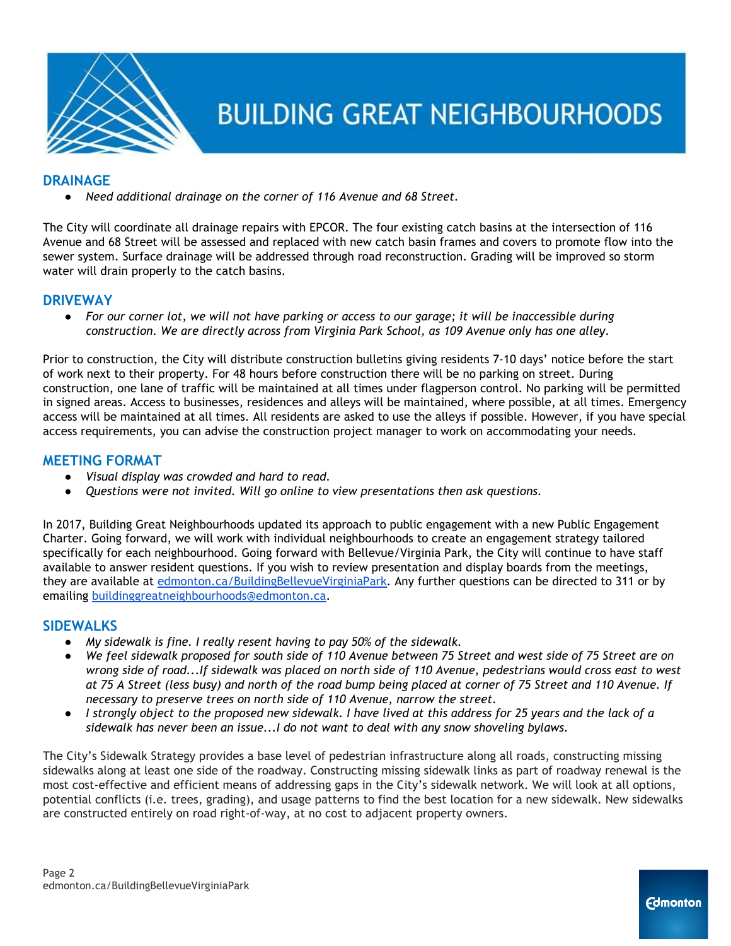

#### **DRAINAGE**

*● Need additional drainage on the corner of 116 Avenue and 68 Street.*

The City will coordinate all drainage repairs with EPCOR. The four existing catch basins at the intersection of 116 Avenue and 68 Street will be assessed and replaced with new catch basin frames and covers to promote flow into the sewer system. Surface drainage will be addressed through road reconstruction. Grading will be improved so storm water will drain properly to the catch basins.

#### **DRIVEWAY**

• For our corner lot, we will not have parking or access to our garage; it will be inaccessible during *construction. We are directly across from Virginia Park School, as 109 Avenue only has one alley.*

Prior to construction, the City will distribute construction bulletins giving residents 7-10 days' notice before the start of work next to their property. For 48 hours before construction there will be no parking on street. During construction, one lane of traffic will be maintained at all times under flagperson control. No parking will be permitted in signed areas. Access to businesses, residences and alleys will be maintained, where possible, at all times. Emergency access will be maintained at all times. All residents are asked to use the alleys if possible. However, if you have special access requirements, you can advise the construction project manager to work on accommodating your needs.

### **MEETING FORMAT**

- *Visual display was crowded and hard to read.*
- *Questions were not invited. Will go online to view presentations then ask questions.*

In 2017, Building Great Neighbourhoods updated its approach to public engagement with a new Public Engagement Charter. Going forward, we will work with individual neighbourhoods to create an engagement strategy tailored specifically for each neighbourhood. Going forward with Bellevue/Virginia Park, the City will continue to have staff available to answer resident questions. If you wish to review presentation and display boards from the meetings, they are available at [edmonton.ca/BuildingBellevueVirginiaPark.](http://www.edmonton.ca/BuildingBellevueVirginiaPark) Any further questions can be directed to 311 or by emailing [buildinggreatneighbourhoods@edmonton.ca](mailto:buildinggreatneighbourhoods@edmonton.ca).

#### **SIDEWALKS**

- *● My sidewalk is fine. I really resent having to pay 50% of the sidewalk.*
- We feel sidewalk proposed for south side of 110 Avenue between 75 Street and west side of 75 Street are on wrong side of road...If sidewalk was placed on north side of 110 Avenue, pedestrians would cross east to west at 75 A Street (less busy) and north of the road bump being placed at corner of 75 Street and 110 Avenue. If *necessary to preserve trees on north side of 110 Avenue, narrow the street.*
- I strongly object to the proposed new sidewalk. I have lived at this address for 25 years and the lack of a *sidewalk has never been an issue...I do not want to deal with any snow shoveling bylaws.*

The City's Sidewalk Strategy provides a base level of pedestrian infrastructure along all roads, constructing missing sidewalks along at least one side of the roadway. Constructing missing sidewalk links as part of roadway renewal is the most cost-effective and efficient means of addressing gaps in the City's sidewalk network. We will look at all options, potential conflicts (i.e. trees, grading), and usage patterns to find the best location for a new sidewalk. New sidewalks are constructed entirely on road right-of-way, at no cost to adjacent property owners.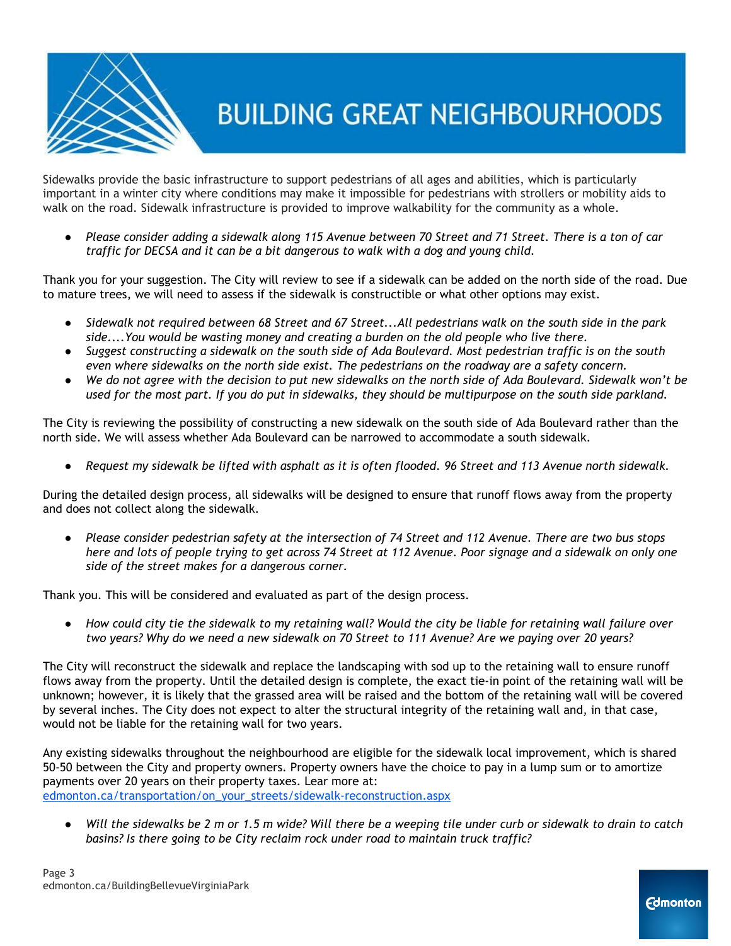

Sidewalks provide the basic infrastructure to support pedestrians of all ages and abilities, which is particularly important in a winter city where conditions may make it impossible for pedestrians with strollers or mobility aids to walk on the road. Sidewalk infrastructure is provided to improve walkability for the community as a whole.

• Please consider adding a sidewalk along 115 Avenue between 70 Street and 71 Street. There is a ton of car *traffic for DECSA and it can be a bit dangerous to walk with a dog and young child.*

Thank you for your suggestion. The City will review to see if a sidewalk can be added on the north side of the road. Due to mature trees, we will need to assess if the sidewalk is constructible or what other options may exist.

- Sidewalk not required between 68 Street and 67 Street...All pedestrians walk on the south side in the park *side....You would be wasting money and creating a burden on the old people who live there.*
- Suggest constructing a sidewalk on the south side of Ada Boulevard. Most pedestrian traffic is on the south *even where sidewalks on the north side exist. The pedestrians on the roadway are a safety concern.*
- We do not agree with the decision to put new sidewalks on the north side of Ada Boulevard. Sidewalk won't be used for the most part. If you do put in sidewalks, they should be multipurpose on the south side parkland.

The City is reviewing the possibility of constructing a new sidewalk on the south side of Ada Boulevard rather than the north side. We will assess whether Ada Boulevard can be narrowed to accommodate a south sidewalk.

Request my sidewalk be lifted with asphalt as it is often flooded. 96 Street and 113 Avenue north sidewalk.

During the detailed design process, all sidewalks will be designed to ensure that runoff flows away from the property and does not collect along the sidewalk.

• Please consider pedestrian safety at the intersection of 74 Street and 112 Avenue. There are two bus stops here and lots of people trying to get across 74 Street at 112 Avenue. Poor signage and a sidewalk on only one *side of the street makes for a dangerous corner.*

Thank you. This will be considered and evaluated as part of the design process.

• How could city tie the sidewalk to my retaining wall? Would the city be liable for retaining wall failure over two years? Why do we need a new sidewalk on 70 Street to 111 Avenue? Are we paying over 20 years?

The City will reconstruct the sidewalk and replace the landscaping with sod up to the retaining wall to ensure runoff flows away from the property. Until the detailed design is complete, the exact tie-in point of the retaining wall will be unknown; however, it is likely that the grassed area will be raised and the bottom of the retaining wall will be covered by several inches. The City does not expect to alter the structural integrity of the retaining wall and, in that case, would not be liable for the retaining wall for two years.

Any existing sidewalks throughout the neighbourhood are eligible for the sidewalk local improvement, which is shared 50-50 between the City and property owners. Property owners have the choice to pay in a lump sum or to amortize payments over 20 years on their property taxes. Lear more at: [edmonton.ca/transportation/on\\_your\\_streets/sidewalk-reconstruction.aspx](https://www.edmonton.ca/transportation/on_your_streets/sidewalk-reconstruction.aspx)

• Will the sidewalks be 2 m or 1.5 m wide? Will there be a weeping tile under curb or sidewalk to drain to catch *basins? Is there going to be City reclaim rock under road to maintain truck traffic?*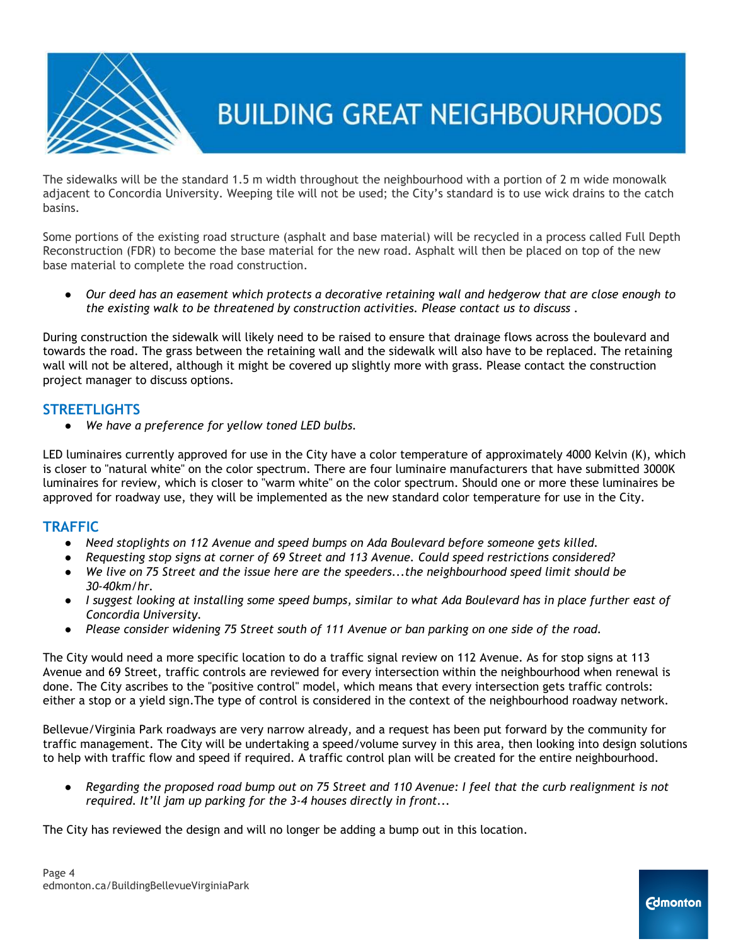

The sidewalks will be the standard 1.5 m width throughout the neighbourhood with a portion of 2 m wide monowalk adjacent to Concordia University. Weeping tile will not be used; the City's standard is to use wick drains to the catch basins.

Some portions of the existing road structure (asphalt and base material) will be recycled in a process called Full Depth Reconstruction (FDR) to become the base material for the new road. Asphalt will then be placed on top of the new base material to complete the road construction.

• Our deed has an easement which protects a decorative retaining wall and hedgerow that are close enough to *the existing walk to be threatened by construction activities. Please contact us to discuss .*

During construction the sidewalk will likely need to be raised to ensure that drainage flows across the boulevard and towards the road. The grass between the retaining wall and the sidewalk will also have to be replaced. The retaining wall will not be altered, although it might be covered up slightly more with grass. Please contact the construction project manager to discuss options.

#### **STREETLIGHTS**

*● We have a preference for yellow toned LED bulbs.*

LED luminaires currently approved for use in the City have a color temperature of approximately 4000 Kelvin (K), which is closer to "natural white" on the color spectrum. There are four luminaire manufacturers that have submitted 3000K luminaires for review, which is closer to "warm white" on the color spectrum. Should one or more these luminaires be approved for roadway use, they will be implemented as the new standard color temperature for use in the City.

#### **TRAFFIC**

- *Need stoplights on 112 Avenue and speed bumps on Ada Boulevard before someone gets killed.*
- *● Requesting stop signs at corner of 69 Street and 113 Avenue. Could speed restrictions considered?*
- We live on 75 Street and the issue here are the speeders...the neighbourhood speed limit should be *30-40km/hr.*
- I suggest looking at installing some speed bumps, similar to what Ada Boulevard has in place further east of *Concordia University.*
- Please consider widening 75 Street south of 111 Avenue or ban parking on one side of the road.

The City would need a more specific location to do a traffic signal review on 112 Avenue. As for stop signs at 113 Avenue and 69 Street, traffic controls are reviewed for every intersection within the neighbourhood when renewal is done. The City ascribes to the "positive control" model, which means that every intersection gets traffic controls: either a stop or a yield sign.The type of control is considered in the context of the neighbourhood roadway network.

Bellevue/Virginia Park roadways are very narrow already, and a request has been put forward by the community for traffic management. The City will be undertaking a speed/volume survey in this area, then looking into design solutions to help with traffic flow and speed if required. A traffic control plan will be created for the entire neighbourhood.

• Regarding the proposed road bump out on 75 Street and 110 Avenue: I feel that the curb realignment is not *required. It'll jam up parking for the 3-4 houses directly in front...*

The City has reviewed the design and will no longer be adding a bump out in this location.